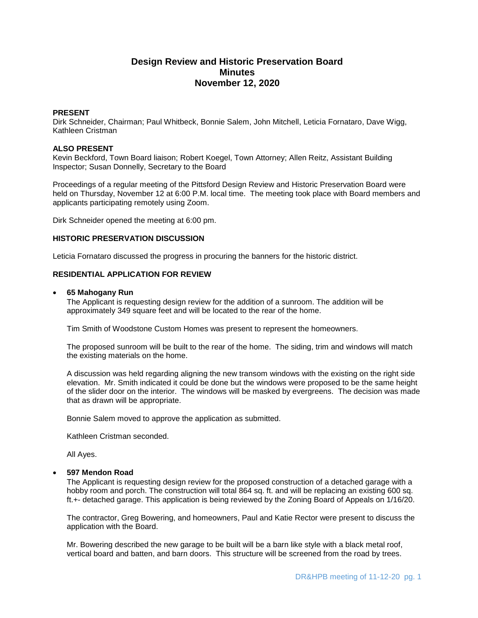# **Design Review and Historic Preservation Board Minutes November 12, 2020**

## **PRESENT**

Dirk Schneider, Chairman; Paul Whitbeck, Bonnie Salem, John Mitchell, Leticia Fornataro, Dave Wigg, Kathleen Cristman

#### **ALSO PRESENT**

Kevin Beckford, Town Board liaison; Robert Koegel, Town Attorney; Allen Reitz, Assistant Building Inspector; Susan Donnelly, Secretary to the Board

Proceedings of a regular meeting of the Pittsford Design Review and Historic Preservation Board were held on Thursday, November 12 at 6:00 P.M. local time. The meeting took place with Board members and applicants participating remotely using Zoom.

Dirk Schneider opened the meeting at 6:00 pm.

#### **HISTORIC PRESERVATION DISCUSSION**

Leticia Fornataro discussed the progress in procuring the banners for the historic district.

# **RESIDENTIAL APPLICATION FOR REVIEW**

#### **65 Mahogany Run**

The Applicant is requesting design review for the addition of a sunroom. The addition will be approximately 349 square feet and will be located to the rear of the home.

Tim Smith of Woodstone Custom Homes was present to represent the homeowners.

The proposed sunroom will be built to the rear of the home. The siding, trim and windows will match the existing materials on the home.

A discussion was held regarding aligning the new transom windows with the existing on the right side elevation. Mr. Smith indicated it could be done but the windows were proposed to be the same height of the slider door on the interior. The windows will be masked by evergreens. The decision was made that as drawn will be appropriate.

Bonnie Salem moved to approve the application as submitted.

Kathleen Cristman seconded.

All Ayes.

#### **597 Mendon Road**

The Applicant is requesting design review for the proposed construction of a detached garage with a hobby room and porch. The construction will total 864 sq. ft. and will be replacing an existing 600 sq. ft.+- detached garage. This application is being reviewed by the Zoning Board of Appeals on 1/16/20.

The contractor, Greg Bowering, and homeowners, Paul and Katie Rector were present to discuss the application with the Board.

Mr. Bowering described the new garage to be built will be a barn like style with a black metal roof, vertical board and batten, and barn doors. This structure will be screened from the road by trees.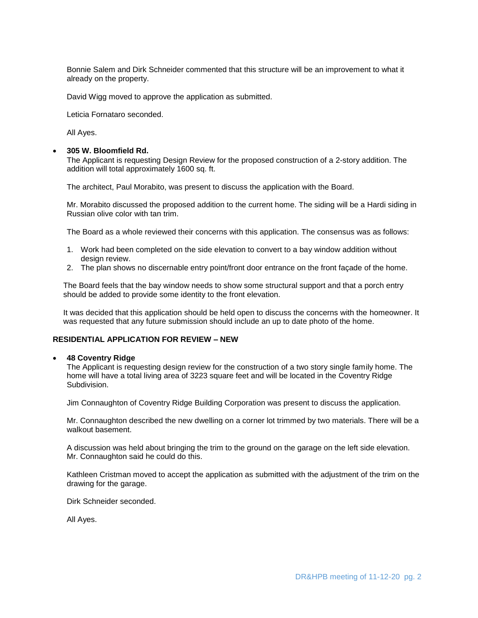Bonnie Salem and Dirk Schneider commented that this structure will be an improvement to what it already on the property.

David Wigg moved to approve the application as submitted.

Leticia Fornataro seconded.

All Ayes.

#### **305 W. Bloomfield Rd.**

The Applicant is requesting Design Review for the proposed construction of a 2-story addition. The addition will total approximately 1600 sq. ft.

The architect, Paul Morabito, was present to discuss the application with the Board.

Mr. Morabito discussed the proposed addition to the current home. The siding will be a Hardi siding in Russian olive color with tan trim.

The Board as a whole reviewed their concerns with this application. The consensus was as follows:

- 1. Work had been completed on the side elevation to convert to a bay window addition without design review.
- 2. The plan shows no discernable entry point/front door entrance on the front façade of the home.

The Board feels that the bay window needs to show some structural support and that a porch entry should be added to provide some identity to the front elevation.

It was decided that this application should be held open to discuss the concerns with the homeowner. It was requested that any future submission should include an up to date photo of the home.

# **RESIDENTIAL APPLICATION FOR REVIEW – NEW**

#### **48 Coventry Ridge**

The Applicant is requesting design review for the construction of a two story single family home. The home will have a total living area of 3223 square feet and will be located in the Coventry Ridge Subdivision.

Jim Connaughton of Coventry Ridge Building Corporation was present to discuss the application.

Mr. Connaughton described the new dwelling on a corner lot trimmed by two materials. There will be a walkout basement.

A discussion was held about bringing the trim to the ground on the garage on the left side elevation. Mr. Connaughton said he could do this.

Kathleen Cristman moved to accept the application as submitted with the adjustment of the trim on the drawing for the garage.

Dirk Schneider seconded.

All Ayes.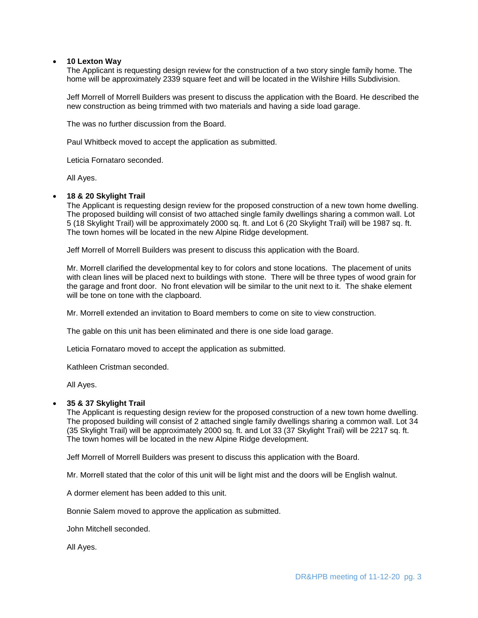## **10 Lexton Way**

The Applicant is requesting design review for the construction of a two story single family home. The home will be approximately 2339 square feet and will be located in the Wilshire Hills Subdivision.

Jeff Morrell of Morrell Builders was present to discuss the application with the Board. He described the new construction as being trimmed with two materials and having a side load garage.

The was no further discussion from the Board.

Paul Whitbeck moved to accept the application as submitted.

Leticia Fornataro seconded.

All Ayes.

## **18 & 20 Skylight Trail**

The Applicant is requesting design review for the proposed construction of a new town home dwelling. The proposed building will consist of two attached single family dwellings sharing a common wall. Lot 5 (18 Skylight Trail) will be approximately 2000 sq. ft. and Lot 6 (20 Skylight Trail) will be 1987 sq. ft. The town homes will be located in the new Alpine Ridge development.

Jeff Morrell of Morrell Builders was present to discuss this application with the Board.

Mr. Morrell clarified the developmental key to for colors and stone locations. The placement of units with clean lines will be placed next to buildings with stone. There will be three types of wood grain for the garage and front door. No front elevation will be similar to the unit next to it. The shake element will be tone on tone with the clapboard.

Mr. Morrell extended an invitation to Board members to come on site to view construction.

The gable on this unit has been eliminated and there is one side load garage.

Leticia Fornataro moved to accept the application as submitted.

Kathleen Cristman seconded.

All Ayes.

## **35 & 37 Skylight Trail**

The Applicant is requesting design review for the proposed construction of a new town home dwelling. The proposed building will consist of 2 attached single family dwellings sharing a common wall. Lot 34 (35 Skylight Trail) will be approximately 2000 sq. ft. and Lot 33 (37 Skylight Trail) will be 2217 sq. ft. The town homes will be located in the new Alpine Ridge development.

Jeff Morrell of Morrell Builders was present to discuss this application with the Board.

Mr. Morrell stated that the color of this unit will be light mist and the doors will be English walnut.

A dormer element has been added to this unit.

Bonnie Salem moved to approve the application as submitted.

John Mitchell seconded.

All Ayes.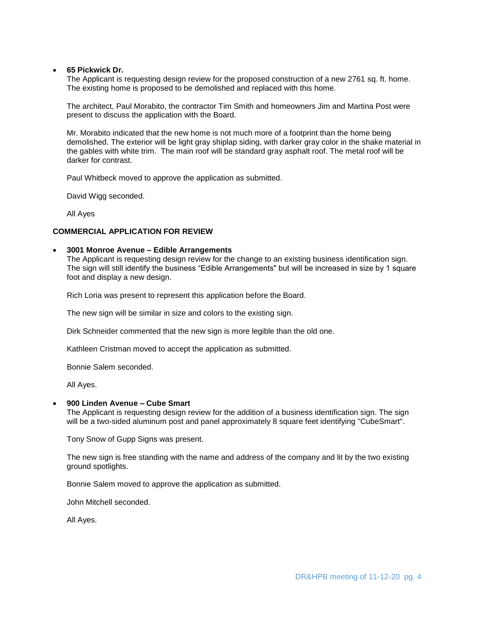## **65 Pickwick Dr.**

The Applicant is requesting design review for the proposed construction of a new 2761 sq. ft. home. The existing home is proposed to be demolished and replaced with this home.

The architect, Paul Morabito, the contractor Tim Smith and homeowners Jim and Martina Post were present to discuss the application with the Board.

Mr. Morabito indicated that the new home is not much more of a footprint than the home being demolished. The exterior will be light gray shiplap siding, with darker gray color in the shake material in the gables with white trim. The main roof will be standard gray asphalt roof. The metal roof will be darker for contrast.

Paul Whitbeck moved to approve the application as submitted.

David Wigg seconded.

All Ayes

## **COMMERCIAL APPLICATION FOR REVIEW**

#### **3001 Monroe Avenue – Edible Arrangements**

The Applicant is requesting design review for the change to an existing business identification sign. The sign will still identify the business "Edible Arrangements" but will be increased in size by 1 square foot and display a new design.

Rich Loria was present to represent this application before the Board.

The new sign will be similar in size and colors to the existing sign.

Dirk Schneider commented that the new sign is more legible than the old one.

Kathleen Cristman moved to accept the application as submitted.

Bonnie Salem seconded.

All Ayes.

## **900 Linden Avenue – Cube Smart**

The Applicant is requesting design review for the addition of a business identification sign. The sign will be a two-sided aluminum post and panel approximately 8 square feet identifying "CubeSmart".

Tony Snow of Gupp Signs was present.

The new sign is free standing with the name and address of the company and lit by the two existing ground spotlights.

Bonnie Salem moved to approve the application as submitted.

John Mitchell seconded.

All Ayes.